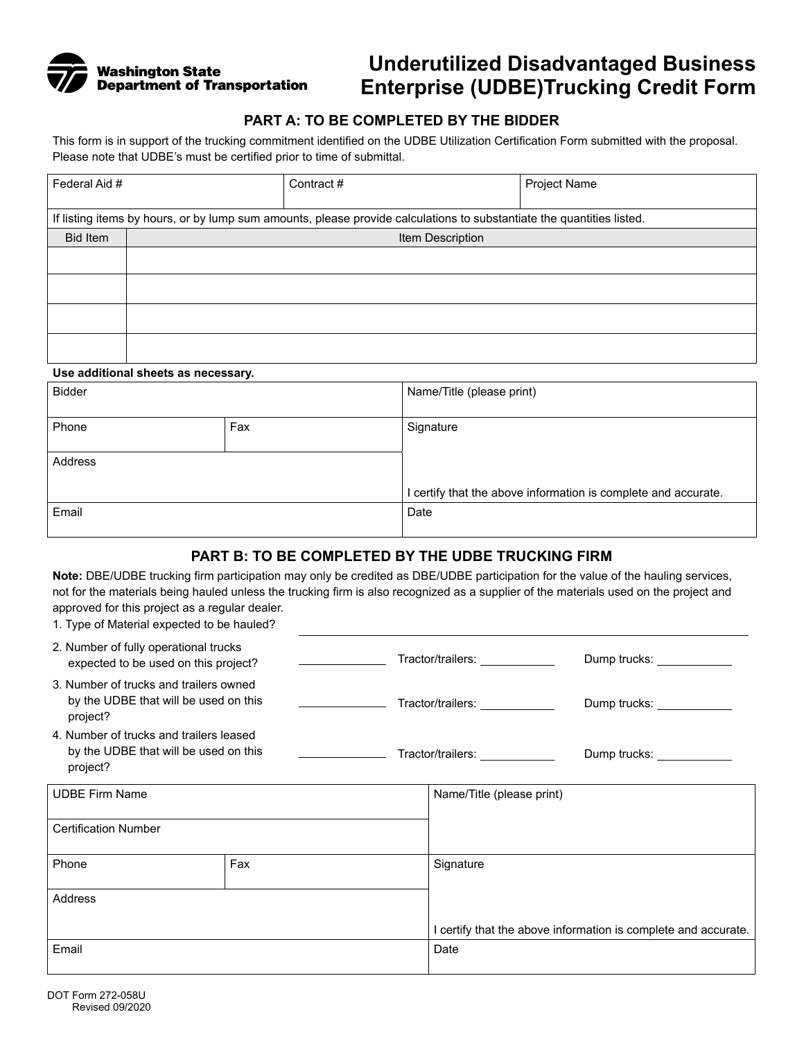

# **Underutilized Disadvantaged Business Enterprise (UDBE)Trucking Credit Form**

# **PART A: TO BE COMPLETED BY THE BIDDER**

This form is in support of the trucking commitment identified on the UDBE Utilization Certification Form submitted with the proposal. Please note that UDBE's must be certified prior to time of submittal.

| Federal Aid #                                                                                                         |                  | Contract# | Project Name |  |  |  |  |
|-----------------------------------------------------------------------------------------------------------------------|------------------|-----------|--------------|--|--|--|--|
|                                                                                                                       |                  |           |              |  |  |  |  |
| If listing items by hours, or by lump sum amounts, please provide calculations to substantiate the quantities listed. |                  |           |              |  |  |  |  |
| <b>Bid Item</b>                                                                                                       | Item Description |           |              |  |  |  |  |
|                                                                                                                       |                  |           |              |  |  |  |  |
|                                                                                                                       |                  |           |              |  |  |  |  |
|                                                                                                                       |                  |           |              |  |  |  |  |
|                                                                                                                       |                  |           |              |  |  |  |  |
|                                                                                                                       |                  |           |              |  |  |  |  |
|                                                                                                                       |                  |           |              |  |  |  |  |
|                                                                                                                       |                  |           |              |  |  |  |  |

#### **Use additional sheets as necessary.**

| <b>Bidder</b> |     | Name/Title (please print)                                      |  |
|---------------|-----|----------------------------------------------------------------|--|
| Phone         | Fax | Signature                                                      |  |
| Address       |     |                                                                |  |
|               |     | I certify that the above information is complete and accurate. |  |
| Email         |     | Date                                                           |  |

#### **PART B: TO BE COMPLETED BY THE UDBE TRUCKING FIRM**

**Note:** DBE/UDBE trucking firm participation may only be credited as DBE/UDBE participation for the value of the hauling services, not for the materials being hauled unless the trucking firm is also recognized as a supplier of the materials used on the project and approved for this project as a regular dealer.

| 1. Type of Material expected to be hauled?                                                   |  |                                 |                                 |                                                                |
|----------------------------------------------------------------------------------------------|--|---------------------------------|---------------------------------|----------------------------------------------------------------|
| 2. Number of fully operational trucks<br>expected to be used on this project?                |  |                                 |                                 |                                                                |
| 3. Number of trucks and trailers owned<br>by the UDBE that will be used on this<br>project?  |  |                                 | Tractor/trailers: ____________  | Dump trucks: _____________                                     |
| 4. Number of trucks and trailers leased<br>by the UDBE that will be used on this<br>project? |  | <u> 1990 - Jan Alexandria (</u> | Tractor/trailers: _____________ | Dump trucks: ____________                                      |
| <b>UDBE Firm Name</b>                                                                        |  |                                 | Name/Title (please print)       |                                                                |
| <b>Certification Number</b>                                                                  |  |                                 |                                 |                                                                |
| Phone<br>Fax                                                                                 |  |                                 | Signature                       |                                                                |
| Address                                                                                      |  |                                 |                                 |                                                                |
|                                                                                              |  |                                 |                                 | I certify that the above information is complete and accurate. |
| Email                                                                                        |  |                                 | Date                            |                                                                |